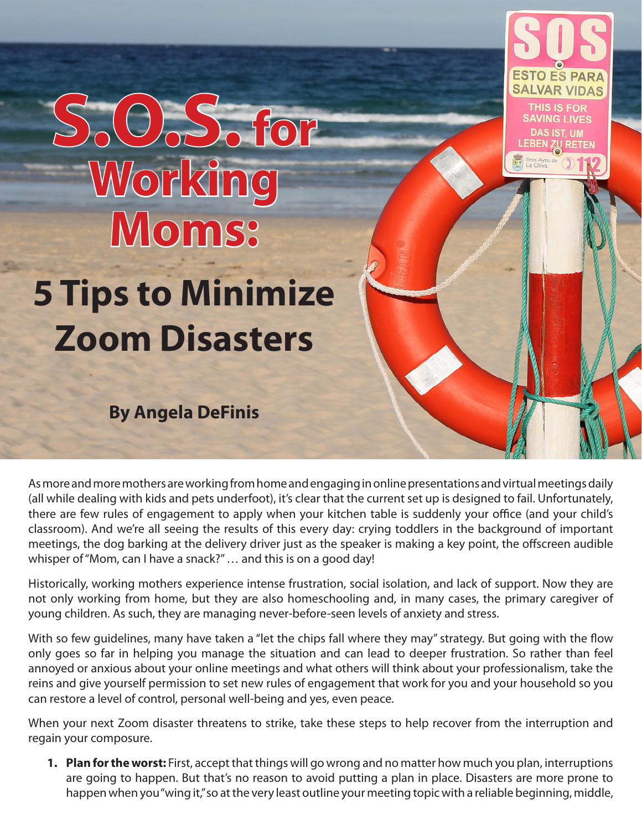## **S.O.S. for Working Moms:**

## **5 Tips to Minimize Zoom Disasters**

**By Angela DeFinis**

As more and more mothers are working from home and engaging in online presentations and virtual meetings daily (all while dealing with kids and pets underfoot), it's clear that the current set up is designed to fail. Unfortunately, there are few rules of engagement to apply when your kitchen table is suddenly your office (and your child's classroom). And we're all seeing the results of this every day: crying toddlers in the background of important meetings, the dog barking at the delivery driver just as the speaker is making a key point, the offscreen audible whisper of "Mom, can I have a snack?" … and this is on a good day!

**ESTO ES PARA SALVAR VIDAS** THIS IS FOR **SAVING LIVES** 

LEBEN

Historically, working mothers experience intense frustration, social isolation, and lack of support. Now they are not only working from home, but they are also homeschooling and, in many cases, the primary caregiver of young children. As such, they are managing never-before-seen levels of anxiety and stress.

With so few guidelines, many have taken a "let the chips fall where they may" strategy. But going with the flow only goes so far in helping you manage the situation and can lead to deeper frustration. So rather than feel annoyed or anxious about your online meetings and what others will think about your professionalism, take the reins and give yourself permission to set new rules of engagement that work for you and your household so you can restore a level of control, personal well-being and yes, even peace.

When your next Zoom disaster threatens to strike, take these steps to help recover from the interruption and regain your composure.

**1. Plan for the worst:** First, accept that things will go wrong and no matter how much you plan, interruptions are going to happen. But that's no reason to avoid putting a plan in place. Disasters are more prone to happen when you "wing it," so at the very least outline your meeting topic with a reliable beginning, middle,